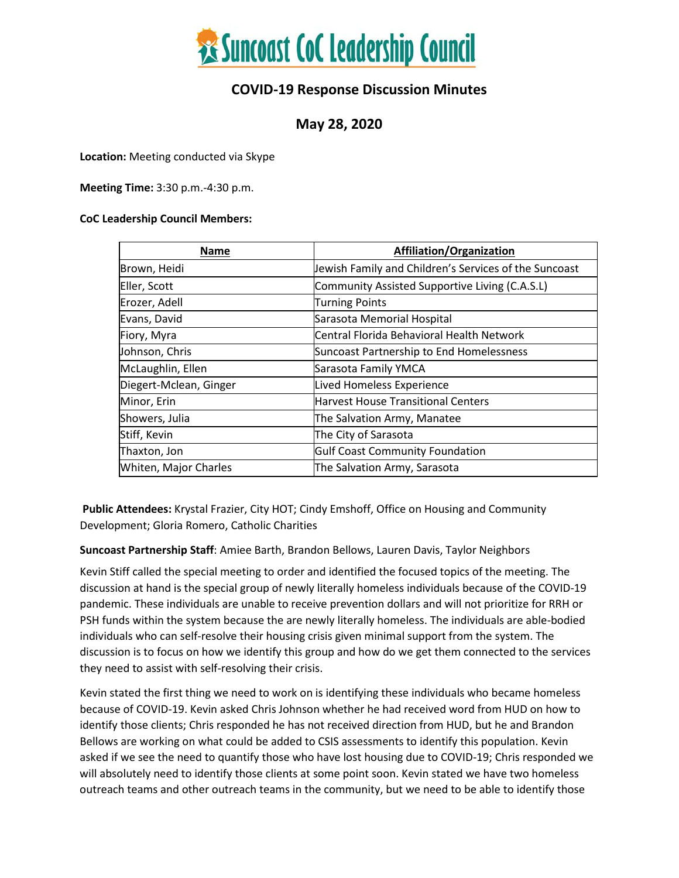

#### **COVID-19 Response Discussion Minutes**

#### **May 28, 2020**

**Location:** Meeting conducted via Skype

**Meeting Time:** 3:30 p.m.-4:30 p.m.

#### **CoC Leadership Council Members:**

| <b>Name</b>            | Affiliation/Organization                              |
|------------------------|-------------------------------------------------------|
| Brown, Heidi           | Jewish Family and Children's Services of the Suncoast |
| Eller, Scott           | Community Assisted Supportive Living (C.A.S.L)        |
| Erozer, Adell          | <b>Turning Points</b>                                 |
| Evans, David           | Sarasota Memorial Hospital                            |
| Fiory, Myra            | Central Florida Behavioral Health Network             |
| Johnson, Chris         | Suncoast Partnership to End Homelessness              |
| McLaughlin, Ellen      | Sarasota Family YMCA                                  |
| Diegert-Mclean, Ginger | <b>Lived Homeless Experience</b>                      |
| Minor, Erin            | <b>Harvest House Transitional Centers</b>             |
| Showers, Julia         | The Salvation Army, Manatee                           |
| Stiff, Kevin           | The City of Sarasota                                  |
| Thaxton, Jon           | <b>Gulf Coast Community Foundation</b>                |
| Whiten, Major Charles  | The Salvation Army, Sarasota                          |

**Public Attendees:** Krystal Frazier, City HOT; Cindy Emshoff, Office on Housing and Community Development; Gloria Romero, Catholic Charities

**Suncoast Partnership Staff**: Amiee Barth, Brandon Bellows, Lauren Davis, Taylor Neighbors

Kevin Stiff called the special meeting to order and identified the focused topics of the meeting. The discussion at hand is the special group of newly literally homeless individuals because of the COVID-19 pandemic. These individuals are unable to receive prevention dollars and will not prioritize for RRH or PSH funds within the system because the are newly literally homeless. The individuals are able-bodied individuals who can self-resolve their housing crisis given minimal support from the system. The discussion is to focus on how we identify this group and how do we get them connected to the services they need to assist with self-resolving their crisis.

Kevin stated the first thing we need to work on is identifying these individuals who became homeless because of COVID-19. Kevin asked Chris Johnson whether he had received word from HUD on how to identify those clients; Chris responded he has not received direction from HUD, but he and Brandon Bellows are working on what could be added to CSIS assessments to identify this population. Kevin asked if we see the need to quantify those who have lost housing due to COVID-19; Chris responded we will absolutely need to identify those clients at some point soon. Kevin stated we have two homeless outreach teams and other outreach teams in the community, but we need to be able to identify those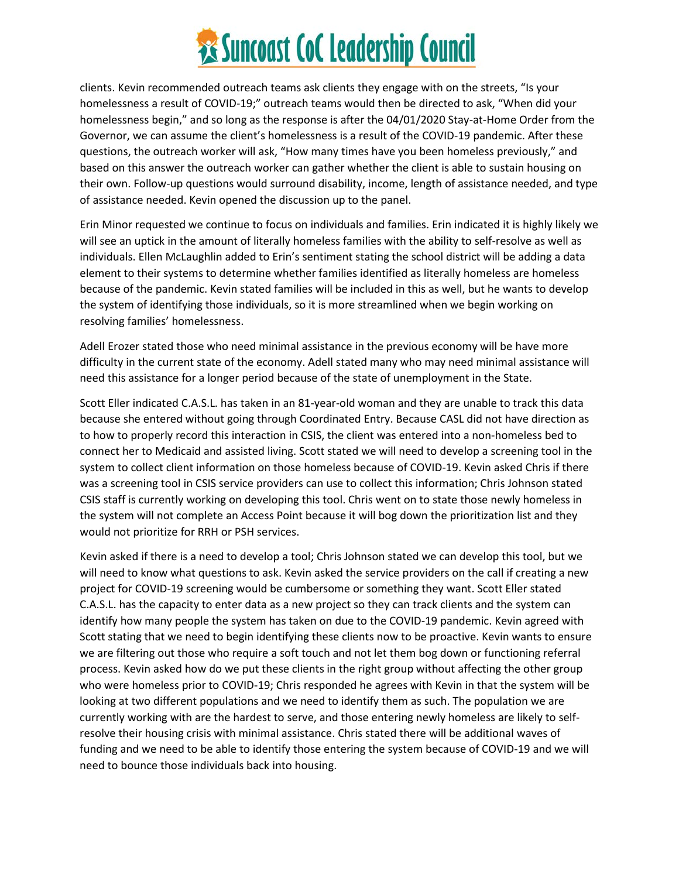# **Executions Surveys Collections Control**

clients. Kevin recommended outreach teams ask clients they engage with on the streets, "Is your homelessness a result of COVID-19;" outreach teams would then be directed to ask, "When did your homelessness begin," and so long as the response is after the 04/01/2020 Stay-at-Home Order from the Governor, we can assume the client's homelessness is a result of the COVID-19 pandemic. After these questions, the outreach worker will ask, "How many times have you been homeless previously," and based on this answer the outreach worker can gather whether the client is able to sustain housing on their own. Follow-up questions would surround disability, income, length of assistance needed, and type of assistance needed. Kevin opened the discussion up to the panel.

Erin Minor requested we continue to focus on individuals and families. Erin indicated it is highly likely we will see an uptick in the amount of literally homeless families with the ability to self-resolve as well as individuals. Ellen McLaughlin added to Erin's sentiment stating the school district will be adding a data element to their systems to determine whether families identified as literally homeless are homeless because of the pandemic. Kevin stated families will be included in this as well, but he wants to develop the system of identifying those individuals, so it is more streamlined when we begin working on resolving families' homelessness.

Adell Erozer stated those who need minimal assistance in the previous economy will be have more difficulty in the current state of the economy. Adell stated many who may need minimal assistance will need this assistance for a longer period because of the state of unemployment in the State.

Scott Eller indicated C.A.S.L. has taken in an 81-year-old woman and they are unable to track this data because she entered without going through Coordinated Entry. Because CASL did not have direction as to how to properly record this interaction in CSIS, the client was entered into a non-homeless bed to connect her to Medicaid and assisted living. Scott stated we will need to develop a screening tool in the system to collect client information on those homeless because of COVID-19. Kevin asked Chris if there was a screening tool in CSIS service providers can use to collect this information; Chris Johnson stated CSIS staff is currently working on developing this tool. Chris went on to state those newly homeless in the system will not complete an Access Point because it will bog down the prioritization list and they would not prioritize for RRH or PSH services.

Kevin asked if there is a need to develop a tool; Chris Johnson stated we can develop this tool, but we will need to know what questions to ask. Kevin asked the service providers on the call if creating a new project for COVID-19 screening would be cumbersome or something they want. Scott Eller stated C.A.S.L. has the capacity to enter data as a new project so they can track clients and the system can identify how many people the system has taken on due to the COVID-19 pandemic. Kevin agreed with Scott stating that we need to begin identifying these clients now to be proactive. Kevin wants to ensure we are filtering out those who require a soft touch and not let them bog down or functioning referral process. Kevin asked how do we put these clients in the right group without affecting the other group who were homeless prior to COVID-19; Chris responded he agrees with Kevin in that the system will be looking at two different populations and we need to identify them as such. The population we are currently working with are the hardest to serve, and those entering newly homeless are likely to selfresolve their housing crisis with minimal assistance. Chris stated there will be additional waves of funding and we need to be able to identify those entering the system because of COVID-19 and we will need to bounce those individuals back into housing.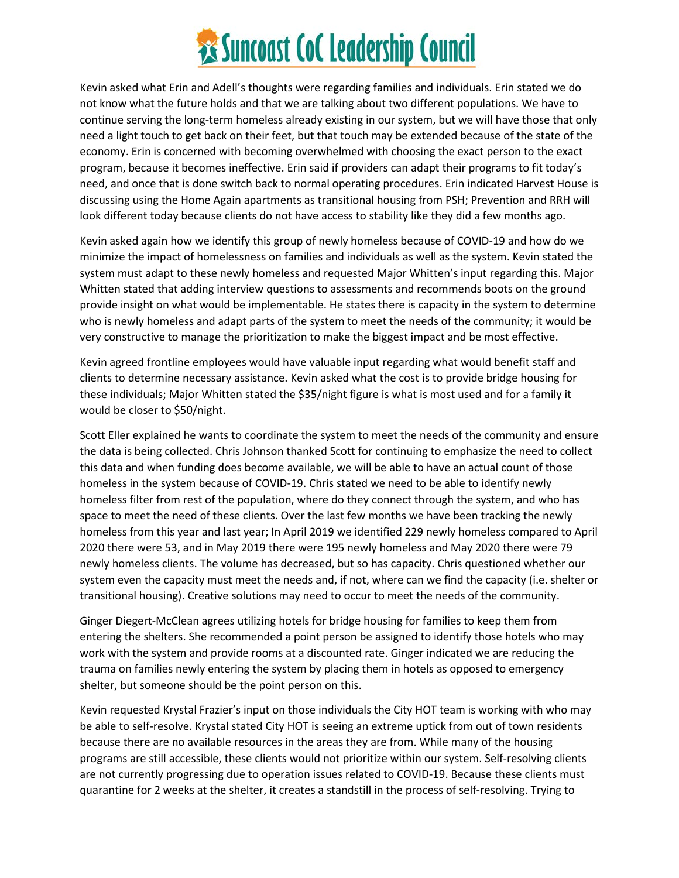## **Examples 35 Suncoast CoC Leadership Council**

Kevin asked what Erin and Adell's thoughts were regarding families and individuals. Erin stated we do not know what the future holds and that we are talking about two different populations. We have to continue serving the long-term homeless already existing in our system, but we will have those that only need a light touch to get back on their feet, but that touch may be extended because of the state of the economy. Erin is concerned with becoming overwhelmed with choosing the exact person to the exact program, because it becomes ineffective. Erin said if providers can adapt their programs to fit today's need, and once that is done switch back to normal operating procedures. Erin indicated Harvest House is discussing using the Home Again apartments as transitional housing from PSH; Prevention and RRH will look different today because clients do not have access to stability like they did a few months ago.

Kevin asked again how we identify this group of newly homeless because of COVID-19 and how do we minimize the impact of homelessness on families and individuals as well as the system. Kevin stated the system must adapt to these newly homeless and requested Major Whitten's input regarding this. Major Whitten stated that adding interview questions to assessments and recommends boots on the ground provide insight on what would be implementable. He states there is capacity in the system to determine who is newly homeless and adapt parts of the system to meet the needs of the community; it would be very constructive to manage the prioritization to make the biggest impact and be most effective.

Kevin agreed frontline employees would have valuable input regarding what would benefit staff and clients to determine necessary assistance. Kevin asked what the cost is to provide bridge housing for these individuals; Major Whitten stated the \$35/night figure is what is most used and for a family it would be closer to \$50/night.

Scott Eller explained he wants to coordinate the system to meet the needs of the community and ensure the data is being collected. Chris Johnson thanked Scott for continuing to emphasize the need to collect this data and when funding does become available, we will be able to have an actual count of those homeless in the system because of COVID-19. Chris stated we need to be able to identify newly homeless filter from rest of the population, where do they connect through the system, and who has space to meet the need of these clients. Over the last few months we have been tracking the newly homeless from this year and last year; In April 2019 we identified 229 newly homeless compared to April 2020 there were 53, and in May 2019 there were 195 newly homeless and May 2020 there were 79 newly homeless clients. The volume has decreased, but so has capacity. Chris questioned whether our system even the capacity must meet the needs and, if not, where can we find the capacity (i.e. shelter or transitional housing). Creative solutions may need to occur to meet the needs of the community.

Ginger Diegert-McClean agrees utilizing hotels for bridge housing for families to keep them from entering the shelters. She recommended a point person be assigned to identify those hotels who may work with the system and provide rooms at a discounted rate. Ginger indicated we are reducing the trauma on families newly entering the system by placing them in hotels as opposed to emergency shelter, but someone should be the point person on this.

Kevin requested Krystal Frazier's input on those individuals the City HOT team is working with who may be able to self-resolve. Krystal stated City HOT is seeing an extreme uptick from out of town residents because there are no available resources in the areas they are from. While many of the housing programs are still accessible, these clients would not prioritize within our system. Self-resolving clients are not currently progressing due to operation issues related to COVID-19. Because these clients must quarantine for 2 weeks at the shelter, it creates a standstill in the process of self-resolving. Trying to